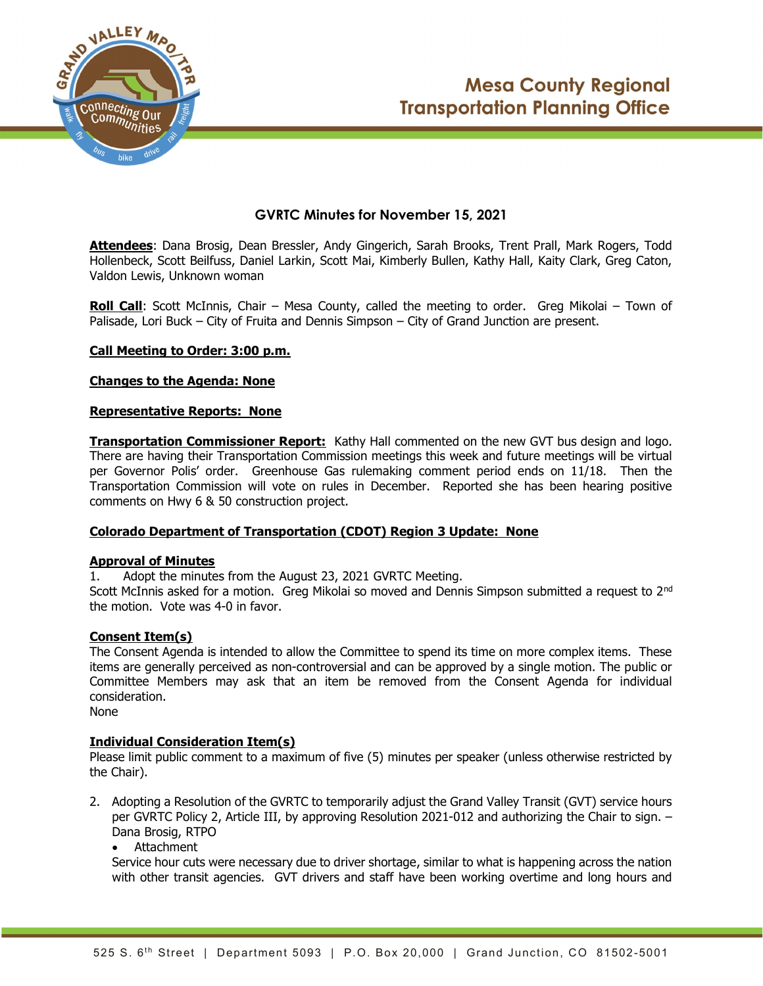



# GVRTC Minutes for November 15, 2021

Attendees: Dana Brosig, Dean Bressler, Andy Gingerich, Sarah Brooks, Trent Prall, Mark Rogers, Todd Hollenbeck, Scott Beilfuss, Daniel Larkin, Scott Mai, Kimberly Bullen, Kathy Hall, Kaity Clark, Greg Caton, Valdon Lewis, Unknown woman

**Roll Call**: Scott McInnis, Chair – Mesa County, called the meeting to order. Greg Mikolai – Town of Palisade, Lori Buck – City of Fruita and Dennis Simpson – City of Grand Junction are present.

## Call Meeting to Order: 3:00 p.m.

## Changes to the Agenda: None

#### Representative Reports: None

**Transportation Commissioner Report:** Kathy Hall commented on the new GVT bus design and logo. There are having their Transportation Commission meetings this week and future meetings will be virtual per Governor Polis' order. Greenhouse Gas rulemaking comment period ends on 11/18. Then the Transportation Commission will vote on rules in December. Reported she has been hearing positive comments on Hwy 6 & 50 construction project.

# Colorado Department of Transportation (CDOT) Region 3 Update: None

## Approval of Minutes

1. Adopt the minutes from the August 23, 2021 GVRTC Meeting.

Scott McInnis asked for a motion. Greg Mikolai so moved and Dennis Simpson submitted a request to 2<sup>nd</sup> the motion. Vote was 4-0 in favor.

#### Consent Item(s)

The Consent Agenda is intended to allow the Committee to spend its time on more complex items. These items are generally perceived as non-controversial and can be approved by a single motion. The public or Committee Members may ask that an item be removed from the Consent Agenda for individual consideration.

None

#### Individual Consideration Item(s)

Please limit public comment to a maximum of five (5) minutes per speaker (unless otherwise restricted by the Chair).

- 2. Adopting a Resolution of the GVRTC to temporarily adjust the Grand Valley Transit (GVT) service hours per GVRTC Policy 2, Article III, by approving Resolution 2021-012 and authorizing the Chair to sign. – Dana Brosig, RTPO
	- Attachment

Service hour cuts were necessary due to driver shortage, similar to what is happening across the nation with other transit agencies. GVT drivers and staff have been working overtime and long hours and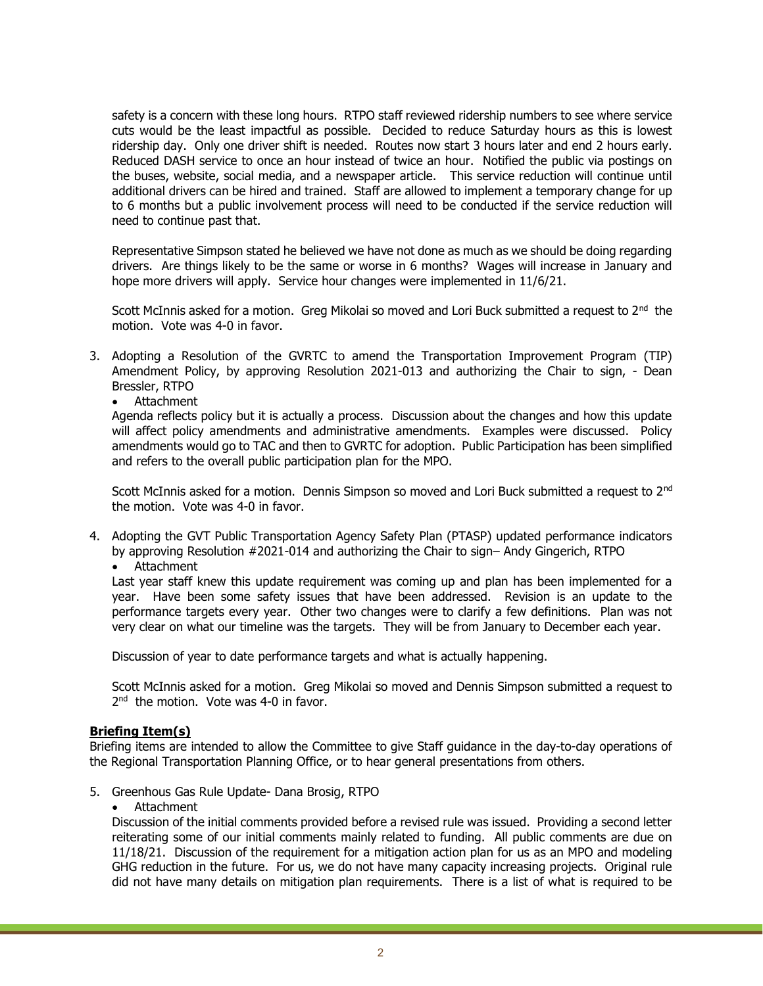safety is a concern with these long hours. RTPO staff reviewed ridership numbers to see where service cuts would be the least impactful as possible. Decided to reduce Saturday hours as this is lowest ridership day. Only one driver shift is needed. Routes now start 3 hours later and end 2 hours early. Reduced DASH service to once an hour instead of twice an hour. Notified the public via postings on the buses, website, social media, and a newspaper article. This service reduction will continue until additional drivers can be hired and trained. Staff are allowed to implement a temporary change for up to 6 months but a public involvement process will need to be conducted if the service reduction will need to continue past that.

Representative Simpson stated he believed we have not done as much as we should be doing regarding drivers. Are things likely to be the same or worse in 6 months? Wages will increase in January and hope more drivers will apply. Service hour changes were implemented in 11/6/21.

Scott McInnis asked for a motion. Greg Mikolai so moved and Lori Buck submitted a request to  $2<sup>nd</sup>$  the motion. Vote was 4-0 in favor.

- 3. Adopting a Resolution of the GVRTC to amend the Transportation Improvement Program (TIP) Amendment Policy, by approving Resolution 2021-013 and authorizing the Chair to sign, - Dean Bressler, RTPO
	- Attachment

Agenda reflects policy but it is actually a process. Discussion about the changes and how this update will affect policy amendments and administrative amendments. Examples were discussed. Policy amendments would go to TAC and then to GVRTC for adoption. Public Participation has been simplified and refers to the overall public participation plan for the MPO.

Scott McInnis asked for a motion. Dennis Simpson so moved and Lori Buck submitted a request to 2<sup>nd</sup> the motion. Vote was 4-0 in favor.

- 4. Adopting the GVT Public Transportation Agency Safety Plan (PTASP) updated performance indicators by approving Resolution #2021-014 and authorizing the Chair to sign– Andy Gingerich, RTPO
	- Attachment

Last year staff knew this update requirement was coming up and plan has been implemented for a year. Have been some safety issues that have been addressed. Revision is an update to the performance targets every year. Other two changes were to clarify a few definitions. Plan was not very clear on what our timeline was the targets. They will be from January to December each year.

Discussion of year to date performance targets and what is actually happening.

Scott McInnis asked for a motion. Greg Mikolai so moved and Dennis Simpson submitted a request to 2<sup>nd</sup> the motion. Vote was 4-0 in favor.

# Briefing Item(s)

Briefing items are intended to allow the Committee to give Staff guidance in the day-to-day operations of the Regional Transportation Planning Office, or to hear general presentations from others.

- 5. Greenhous Gas Rule Update- Dana Brosig, RTPO
	- Attachment

Discussion of the initial comments provided before a revised rule was issued. Providing a second letter reiterating some of our initial comments mainly related to funding. All public comments are due on 11/18/21. Discussion of the requirement for a mitigation action plan for us as an MPO and modeling GHG reduction in the future. For us, we do not have many capacity increasing projects. Original rule did not have many details on mitigation plan requirements. There is a list of what is required to be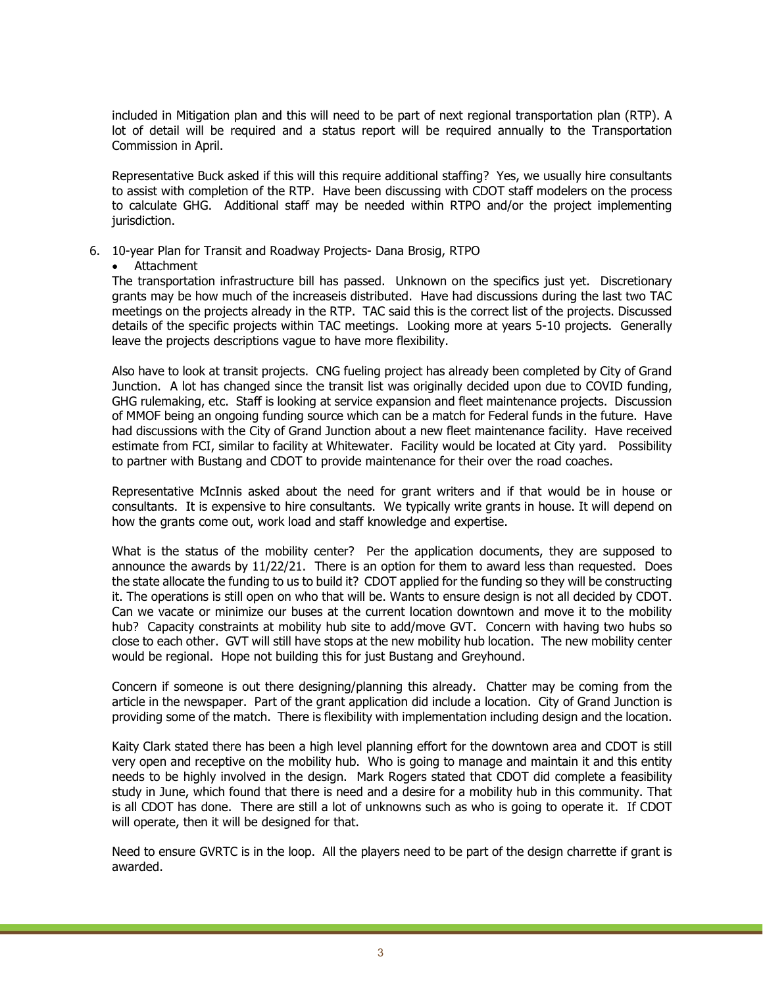included in Mitigation plan and this will need to be part of next regional transportation plan (RTP). A lot of detail will be required and a status report will be required annually to the Transportation Commission in April.

Representative Buck asked if this will this require additional staffing? Yes, we usually hire consultants to assist with completion of the RTP. Have been discussing with CDOT staff modelers on the process to calculate GHG. Additional staff may be needed within RTPO and/or the project implementing jurisdiction.

- 6. 10-year Plan for Transit and Roadway Projects- Dana Brosig, RTPO
	- Attachment

The transportation infrastructure bill has passed. Unknown on the specifics just yet. Discretionary grants may be how much of the increaseis distributed. Have had discussions during the last two TAC meetings on the projects already in the RTP. TAC said this is the correct list of the projects. Discussed details of the specific projects within TAC meetings. Looking more at years 5-10 projects. Generally leave the projects descriptions vague to have more flexibility.

Also have to look at transit projects. CNG fueling project has already been completed by City of Grand Junction. A lot has changed since the transit list was originally decided upon due to COVID funding, GHG rulemaking, etc. Staff is looking at service expansion and fleet maintenance projects. Discussion of MMOF being an ongoing funding source which can be a match for Federal funds in the future. Have had discussions with the City of Grand Junction about a new fleet maintenance facility. Have received estimate from FCI, similar to facility at Whitewater. Facility would be located at City yard. Possibility to partner with Bustang and CDOT to provide maintenance for their over the road coaches.

Representative McInnis asked about the need for grant writers and if that would be in house or consultants. It is expensive to hire consultants. We typically write grants in house. It will depend on how the grants come out, work load and staff knowledge and expertise.

What is the status of the mobility center? Per the application documents, they are supposed to announce the awards by 11/22/21. There is an option for them to award less than requested. Does the state allocate the funding to us to build it? CDOT applied for the funding so they will be constructing it. The operations is still open on who that will be. Wants to ensure design is not all decided by CDOT. Can we vacate or minimize our buses at the current location downtown and move it to the mobility hub? Capacity constraints at mobility hub site to add/move GVT. Concern with having two hubs so close to each other. GVT will still have stops at the new mobility hub location. The new mobility center would be regional. Hope not building this for just Bustang and Greyhound.

Concern if someone is out there designing/planning this already. Chatter may be coming from the article in the newspaper. Part of the grant application did include a location. City of Grand Junction is providing some of the match. There is flexibility with implementation including design and the location.

Kaity Clark stated there has been a high level planning effort for the downtown area and CDOT is still very open and receptive on the mobility hub. Who is going to manage and maintain it and this entity needs to be highly involved in the design. Mark Rogers stated that CDOT did complete a feasibility study in June, which found that there is need and a desire for a mobility hub in this community. That is all CDOT has done. There are still a lot of unknowns such as who is going to operate it. If CDOT will operate, then it will be designed for that.

Need to ensure GVRTC is in the loop. All the players need to be part of the design charrette if grant is awarded.